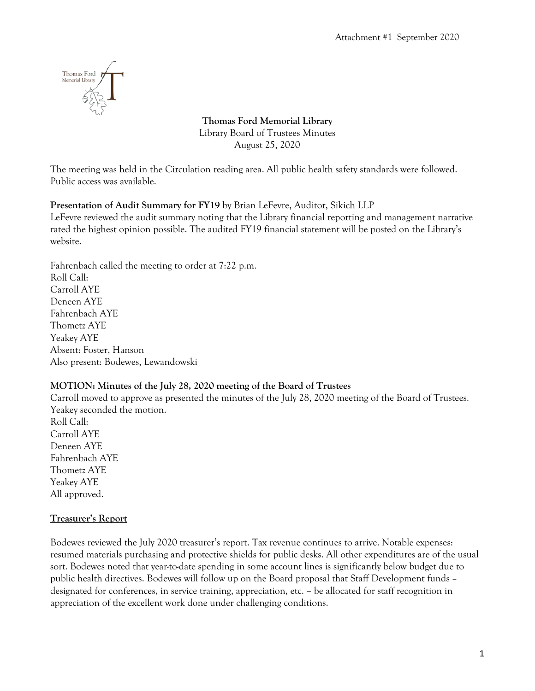

**Thomas Ford Memorial Library** Library Board of Trustees Minutes August 25, 2020

The meeting was held in the Circulation reading area. All public health safety standards were followed. Public access was available.

## **Presentation of Audit Summary for FY19** by Brian LeFevre, Auditor, Sikich LLP

LeFevre reviewed the audit summary noting that the Library financial reporting and management narrative rated the highest opinion possible. The audited FY19 financial statement will be posted on the Library's website.

Fahrenbach called the meeting to order at 7:22 p.m. Roll Call: Carroll AYE Deneen AYE Fahrenbach AYE Thometz AYE Yeakey AYE Absent: Foster, Hanson Also present: Bodewes, Lewandowski

#### **MOTION: Minutes of the July 28, 2020 meeting of the Board of Trustees**

Carroll moved to approve as presented the minutes of the July 28, 2020 meeting of the Board of Trustees. Yeakey seconded the motion.

Roll Call: Carroll AYE Deneen AYE Fahrenbach AYE Thometz AYE Yeakey AYE All approved.

## **Treasurer's Report**

Bodewes reviewed the July 2020 treasurer's report. Tax revenue continues to arrive. Notable expenses: resumed materials purchasing and protective shields for public desks. All other expenditures are of the usual sort. Bodewes noted that year-to-date spending in some account lines is significantly below budget due to public health directives. Bodewes will follow up on the Board proposal that Staff Development funds – designated for conferences, in service training, appreciation, etc. – be allocated for staff recognition in appreciation of the excellent work done under challenging conditions.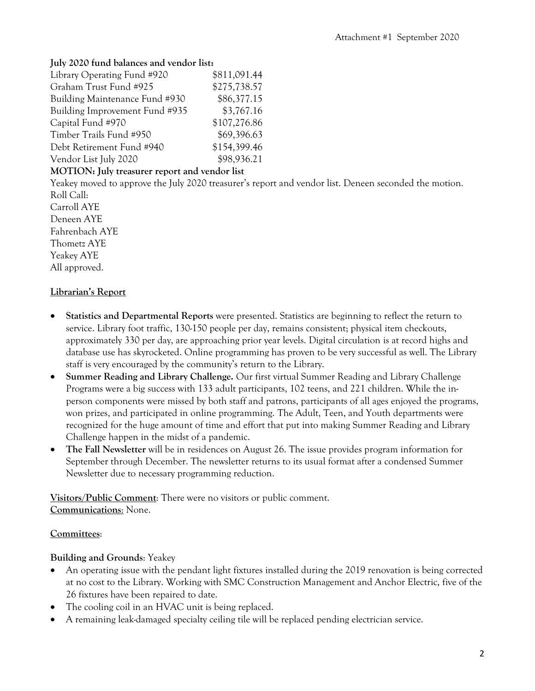#### **July 2020 fund balances and vendor list:**

| Library Operating Fund #920    | \$811,091.44 |
|--------------------------------|--------------|
| Graham Trust Fund #925         | \$275,738.57 |
| Building Maintenance Fund #930 | \$86,377.15  |
| Building Improvement Fund #935 | \$3,767.16   |
| Capital Fund #970              | \$107,276.86 |
| Timber Trails Fund #950        | \$69,396.63  |
| Debt Retirement Fund #940      | \$154,399.46 |
| Vendor List July 2020          | \$98,936.21  |

#### **MOTION: July treasurer report and vendor list**

Yeakey moved to approve the July 2020 treasurer's report and vendor list. Deneen seconded the motion. Roll Call:

Carroll AYE Deneen AYE Fahrenbach AYE Thometz AYE Yeakey AYE All approved.

#### **Librarian's Report**

- **Statistics and Departmental Reports** were presented. Statistics are beginning to reflect the return to service. Library foot traffic, 130-150 people per day, remains consistent; physical item checkouts, approximately 330 per day, are approaching prior year levels. Digital circulation is at record highs and database use has skyrocketed. Online programming has proven to be very successful as well. The Library staff is very encouraged by the community's return to the Library.
- **Summer Reading and Library Challenge.** Our first virtual Summer Reading and Library Challenge Programs were a big success with 133 adult participants, 102 teens, and 221 children. While the inperson components were missed by both staff and patrons, participants of all ages enjoyed the programs, won prizes, and participated in online programming. The Adult, Teen, and Youth departments were recognized for the huge amount of time and effort that put into making Summer Reading and Library Challenge happen in the midst of a pandemic.
- **The Fall Newsletter** will be in residences on August 26. The issue provides program information for September through December. The newsletter returns to its usual format after a condensed Summer Newsletter due to necessary programming reduction.

**Visitors/Public Comment**: There were no visitors or public comment. **Communications**: None.

#### **Committees**:

#### **Building and Grounds**: Yeakey

- An operating issue with the pendant light fixtures installed during the 2019 renovation is being corrected at no cost to the Library. Working with SMC Construction Management and Anchor Electric, five of the 26 fixtures have been repaired to date.
- The cooling coil in an HVAC unit is being replaced.
- A remaining leak-damaged specialty ceiling tile will be replaced pending electrician service.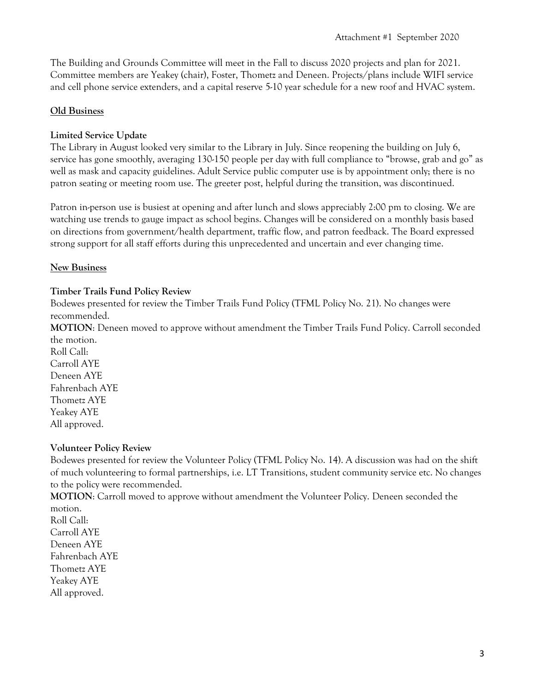The Building and Grounds Committee will meet in the Fall to discuss 2020 projects and plan for 2021. Committee members are Yeakey (chair), Foster, Thometz and Deneen. Projects/plans include WIFI service and cell phone service extenders, and a capital reserve 5-10 year schedule for a new roof and HVAC system.

## **Old Business**

### **Limited Service Update**

The Library in August looked very similar to the Library in July. Since reopening the building on July 6, service has gone smoothly, averaging 130-150 people per day with full compliance to "browse, grab and go" as well as mask and capacity guidelines. Adult Service public computer use is by appointment only; there is no patron seating or meeting room use. The greeter post, helpful during the transition, was discontinued.

Patron in-person use is busiest at opening and after lunch and slows appreciably 2:00 pm to closing. We are watching use trends to gauge impact as school begins. Changes will be considered on a monthly basis based on directions from government/health department, traffic flow, and patron feedback. The Board expressed strong support for all staff efforts during this unprecedented and uncertain and ever changing time.

#### **New Business**

#### **Timber Trails Fund Policy Review**

Bodewes presented for review the Timber Trails Fund Policy (TFML Policy No. 21). No changes were recommended.

**MOTION**: Deneen moved to approve without amendment the Timber Trails Fund Policy. Carroll seconded the motion.

Roll Call: Carroll AYE Deneen AYE Fahrenbach AYE Thometz AYE Yeakey AYE All approved.

#### **Volunteer Policy Review**

Bodewes presented for review the Volunteer Policy (TFML Policy No. 14). A discussion was had on the shift of much volunteering to formal partnerships, i.e. LT Transitions, student community service etc. No changes to the policy were recommended.

**MOTION**: Carroll moved to approve without amendment the Volunteer Policy. Deneen seconded the motion.

Roll Call: Carroll AYE Deneen AYE Fahrenbach AYE Thometz AYE Yeakey AYE All approved.